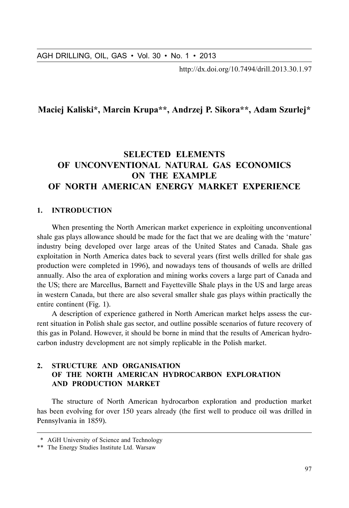http://dx.doi.org/10.7494/drill.2013.30.1.97

## Maciej Kaliski\*, Marcin Krupa\*\*, Andrzej P. Sikora\*\*, Adam Szurlej\*

# **SELECTED ELEMENTS** OF UNCONVENTIONAL NATURAL GAS ECONOMICS ON THE EXAMPLE OF NORTH AMERICAN ENERGY MARKET EXPERIENCE

## 1. INTRODUCTION

AGH DRILLING, OIL, GAS • Vol. 30 • No. 1 • 2013<br>
http://dx.doi.org/10.7494/drill.2013.30.1.97<br>
Maciej Kaliski<sup>\*</sup>, Marcin Krupa<sup>4\*</sup>, Andrzej P. Sikora<sup>4\*</sup>, Adam Szurlej\*<br>
SELECTED ELENENTS<br>
OF UNCONVENTIONAL NATURAL GAS EC When presenting the North American market experience in exploiting unconventional shale gas plays allowance should be made for the fact that we are dealing with the 'mature' industry being developed over large areas of the United States and Canada. Shale gas exploitation in North America dates back to several years (first wells drilled for shale gas production were completed in 1996), and nowadays tens of thousands of wells are drilled annually. Also the area of exploration and mining works covers a large part of Canada and the US; there are Marcellus, Barnett and Fayetteville Shale plays in the US and large areas in western Canada, but there are also several smaller shale gas plays within practically the entire continent (Fig. 1).

A description of experience gathered in North American market helps assess the current situation in Polish shale gas sector, and outline possible scenarios of future recovery of this gas in Poland. However, it should be borne in mind that the results of American hydrocarbon industry development are not simply replicable in the Polish market.

## 2. STRUCTURE AND ORGANISATION OF THE NORTH AMERICAN HYDROCARBON EXPLORATION AND PRODUCTION MARKET

The structure of North American hydrocarbon exploration and production market has been evolving for over 150 years already (the first well to produce oil was drilled in Pennsylvania in 1859).

<sup>\*</sup> AGH University of Science and Technology

<sup>\*\*</sup> The Energy Studies Institute Ltd. Warsaw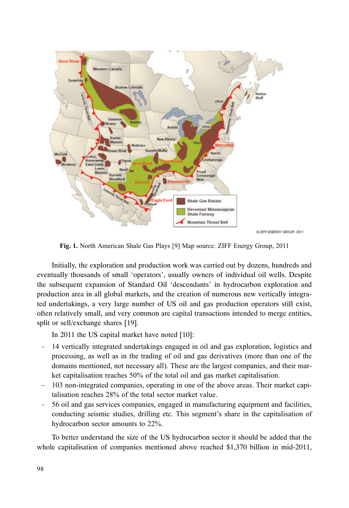

Fig. 1. North American Shale Gas Plays [9] Map source: ZIFF Energy Group, 2011

Initially, the exploration and production work was carried out by dozens, hundreds and eventually thousands of small 'operators', usually owners of individual oil wells. Despite the subsequent expansion of Standard Oil 'descendants' in hydrocarbon exploration and production area in all global markets, and the creation of numerous new vertically integrated undertakings, a very large number of US oil and gas production operators still exist, often relatively small, and very common are capital transactions intended to merge entities, split or sell/exchange shares [19].

In 2011 the US capital market have noted [10]:

- 14 vertically integrated undertakings engaged in oil and gas exploration, logistics and processing, as well as in the trading of oil and gas derivatives (more than one of the domains mentioned, not necessary all). These are the largest companies, and their market capitalisation reaches 50% of the total oil and gas market capitalisation.
- 103 non-integrated companies, operating in one of the above areas. Their market capitalisation reaches 28% of the total sector market value.
- 56 oil and gas services companies, engaged in manufacturing equipment and facilities, conducting seismic studies, drilling etc. This segment's share in the capitalisation of hydrocarbon sector amounts to 22%.

To better understand the size of the US hydrocarbon sector it should be added that the whole capitalisation of companies mentioned above reached \$1,370 billion in mid-2011,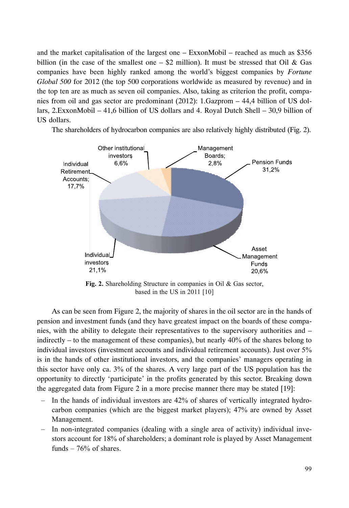and the market capitalisation of the largest one  $-$  ExxonMobil – reached as much as \$356 billion (in the case of the smallest one  $-$  \$2 million). It must be stressed that Oil & Gas companies have been highly ranked among the world's biggest companies by *Fortune Global 500* for 2012 (the top 500 corporations worldwide as measured by revenue) and in the top ten are as much as seven oil companies. Also, taking as criterion the profit, companies from oil and gas sector are predominant (2012): 1.Gazprom – 44,4 billion of US dollars, 2.ExxonMobil – 41,6 billion of US dollars and 4. Royal Dutch Shell – 30,9 billion of US dollars.



The shareholders of hydrocarbon companies are also relatively highly distributed (Fig. 2).

Fig. 2. Shareholding Structure in companies in Oil & Gas sector, based in the US in 2011  $[10]$ 

As can be seen from Figure 2, the majority of shares in the oil sector are in the hands of pension and investment funds (and they have greatest impact on the boards of these companies, with the ability to delegate their representatives to the supervisory authorities and – indirectly – to the management of these companies), but nearly  $40\%$  of the shares belong to individual investors (investment accounts and individual retirement accounts). Just over  $5\%$ is in the hands of other institutional investors, and the companies' managers operating in this sector have only ca.  $3\%$  of the shares. A very large part of the US population has the opportunity to directly 'participate' in the profits generated by this sector. Breaking down the aggregated data from Figure 2 in a more precise manner there may be stated [19]:

- In the hands of individual investors are 42% of shares of vertically integrated hydrocarbon companies (which are the biggest market players); 47% are owned by Asset Management.
- In non-integrated companies (dealing with a single area of activity) individual investors account for 18% of shareholders; a dominant role is played by Asset Management funds  $-76\%$  of shares.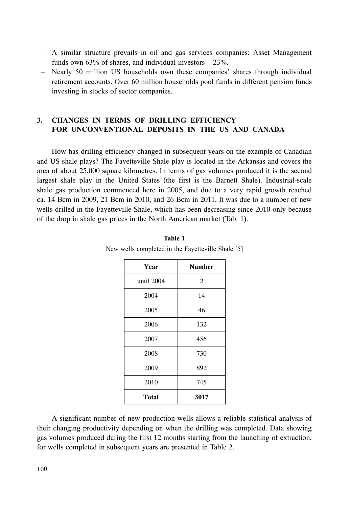- A similar structure prevails in oil and gas services companies: Asset Management funds own 63% of shares, and individual investors  $-23\%$ .
- Nearly 50 million US households own these companies' shares through individual retirement accounts. Over 60 million households pool funds in different pension funds investing in stocks of sector companies.

#### 3. **CHANGES IN TERMS OF DRILLING EFFICIENCY** FOR UNCONVENTIONAL DEPOSITS IN THE US AND CANADA

How has drilling efficiency changed in subsequent years on the example of Canadian and US shale plays? The Fayetteville Shale play is located in the Arkansas and covers the area of about 25,000 square kilometres. In terms of gas volumes produced it is the second largest shale play in the United States (the first is the Barnett Shale). Industrial-scale shale gas production commenced here in 2005, and due to a very rapid growth reached ca. 14 Bcm in 2009, 21 Bcm in 2010, and 26 Bcm in 2011. It was due to a number of new wells drilled in the Fayetteville Shale, which has been decreasing since 2010 only because of the drop in shale gas prices in the North American market (Tab. 1).

| Year         | <b>Number</b>  |
|--------------|----------------|
| until 2004   | $\overline{c}$ |
| 2004         | 14             |
| 2005         | 46             |
| 2006         | 132            |
| 2007         | 456            |
| 2008         | 730            |
| 2009         | 892            |
| 2010         | 745            |
| <b>Total</b> | 3017           |

| Table 1 |  |  |  |  |                                                   |  |  |
|---------|--|--|--|--|---------------------------------------------------|--|--|
|         |  |  |  |  | New wells completed in the Fayetteville Shale [5] |  |  |

A significant number of new production wells allows a reliable statistical analysis of their changing productivity depending on when the drilling was completed. Data showing gas volumes produced during the first 12 months starting from the launching of extraction, for wells completed in subsequent years are presented in Table 2.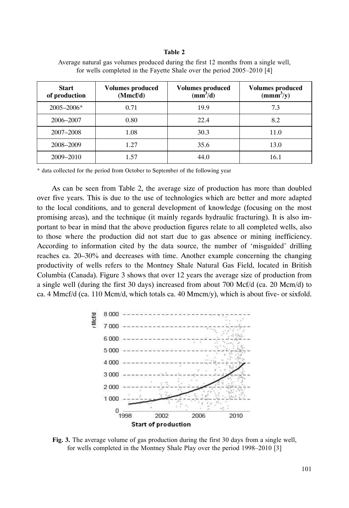#### Table 2

| <b>Start</b><br>of production | <b>Volumes produced</b><br>(Mmcf/d) | <b>Volumes produced</b><br>$\text{(mm}^3/\text{d})$ | <b>Volumes produced</b><br>$\text{(mmm}^3/\text{y})$ |
|-------------------------------|-------------------------------------|-----------------------------------------------------|------------------------------------------------------|
| $2005 - 2006*$                | 0.71                                | 19.9                                                | 7.3                                                  |
| 2006-2007                     | 0.80                                | 22.4                                                | 8.2                                                  |
| 2007-2008                     | 1.08                                | 30.3                                                | 11.0                                                 |
| 2008-2009                     | 1.27                                | 35.6                                                | 13.0                                                 |
| 2009-2010                     | 1.57                                | 44.0                                                | 16.1                                                 |

Average natural gas volumes produced during the first 12 months from a single well, for wells completed in the Fayette Shale over the period 2005–2010 [4]

\* data collected for the period from October to September of the following year

As can be seen from Table 2, the average size of production has more than doubled over five years. This is due to the use of technologies which are better and more adapted to the local conditions, and to general development of knowledge (focusing on the most promising areas), and the technique (it mainly regards hydraulic fracturing). It is also important to bear in mind that the above production figures relate to all completed wells, also to those where the production did not start due to gas absence or mining inefficiency. According to information cited by the data source, the number of 'misguided' drilling reaches ca. 20–30% and decreases with time. Another example concerning the changing productivity of wells refers to the Montney Shale Natural Gas Field, located in British Columbia (Canada). Figure 3 shows that over 12 years the average size of production from a single well (during the first 30 days) increased from about 700 Mcf/d (ca. 20 Mcm/d) to ca. 4 Mmcf/d (ca. 110 Mcm/d, which totals ca. 40 Mmcm/y), which is about five- or sixfold.



Fig. 3. The average volume of gas production during the first 30 days from a single well, for wells completed in the Montney Shale Play over the period 1998–2010 [3]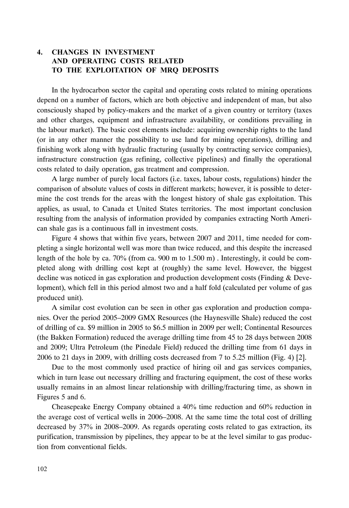## 4. CHANGES IN INVESTMENT AND OPERATING COSTS RELATED TO THE EXPLOITATION OF MRQ DEPOSITS

In the hydrocarbon sector the capital and operating costs related to mining operations depend on a number of factors, which are both objective and independent of man, but also consciously shaped by policy-makers and the market of a given country or territory (taxes and other charges, equipment and infrastructure availability, or conditions prevailing in the labour market). The basic cost elements include: acquiring ownership rights to the land (or in any other manner the possibility to use land for mining operations), drilling and finishing work along with hydraulic fracturing (usually by contracting service companies), infrastructure construction (gas refining, collective pipelines) and finally the operational costs related to daily operation, gas treatment and compression.

A large number of purely local factors (i.e. taxes, labour costs, regulations) hinder the comparison of absolute values of costs in different markets; however, it is possible to determine the cost trends for the areas with the longest history of shale gas exploitation. This applies, as usual, to Canada et United States territories. The most important conclusion resulting from the analysis of information provided by companies extracting North American shale gas is a continuous fall in investment costs.

Figure 4 shows that within five years, between 2007 and 2011, time needed for completing a single horizontal well was more than twice reduced, and this despite the increased length of the hole by ca.  $70\%$  (from ca. 900 m to 1.500 m). Interestingly, it could be completed along with drilling cost kept at (roughly) the same level. However, the biggest decline was noticed in gas exploration and production development costs (Finding & Development), which fell in this period almost two and a half fold (calculated per volume of gas produced unit).

A similar cost evolution can be seen in other gas exploration and production companies. Over the period 2005–2009 GMX Resources (the Haynesville Shale) reduced the cost of drilling of ca. \$9 million in 2005 to \$6.5 million in 2009 per well; Continental Resources (the Bakken Formation) reduced the average drilling time from 45 to 28 days between 2008 and 2009; Ultra Petroleum (the Pinedale Field) reduced the drilling time from 61 days in 2006 to 21 days in 2009, with drilling costs decreased from 7 to 5.25 million (Fig. 4) [2].

Due to the most commonly used practice of hiring oil and gas services companies, which in turn lease out necessary drilling and fracturing equipment, the cost of these works usually remains in an almost linear relationship with drilling/fracturing time, as shown in Figures 5 and 6.

Cheasepeake Energy Company obtained a  $40\%$  time reduction and  $60\%$  reduction in the average cost of vertical wells in 2006–2008. At the same time the total cost of drilling decreased by 37% in 2008–2009. As regards operating costs related to gas extraction, its purification, transmission by pipelines, they appear to be at the level similar to gas production from conventional fields.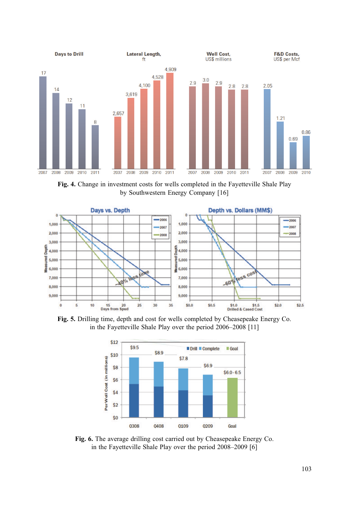

Fig. 4. Change in investment costs for wells completed in the Fayetteville Shale Play by Southwestern Energy Company [16]



Fig. 5. Drilling time, depth and cost for wells completed by Cheasepeake Energy Co. in the Fayetteville Shale Play over the period 2006–2008 [11]



Fig. 6. The average drilling cost carried out by Cheasepeake Energy Co. in the Fayetteville Shale Play over the period 2008-2009 [6]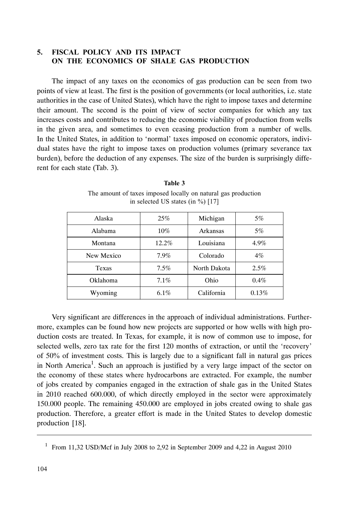#### 3-FISCAL POLICY AND ITS IMPACT ON THE ECONOMICS OF SHALE GAS PRODUCTION

The impact of any taxes on the economics of gas production can be seen from two points of view at least. The first is the position of governments (or local authorities, i.e. state authorities in the case of United States), which have the right to impose taxes and determine their amount. The second is the point of view of sector companies for which any tax increases costs and contributes to reducing the economic viability of production from wells in the given area, and sometimes to even ceasing production from a number of wells. In the United States, in addition to 'normal' taxes imposed on economic operators, individual states have the right to impose taxes on production volumes (primary severance tax burden), before the deduction of any expenses. The size of the burden is surprisingly different for each state (Tab. 3).

| Alaska       | 25%   | Michigan     | 5%    |
|--------------|-------|--------------|-------|
| Alabama      | 10%   | Arkansas     | 5%    |
| Montana      | 12.2% | Louisiana    | 4.9%  |
| New Mexico   | 7.9%  | Colorado     | $4\%$ |
| <b>Texas</b> | 7.5%  | North Dakota | 2.5%  |
| Oklahoma     | 7.1%  | Ohio         | 0.4%  |
| Wyoming      | 6.1%  | California   | 0.13% |

Table 3 The amount of taxes imposed locally on natural gas production in selected US states (in  $\%$ ) [17]

Very significant are differences in the approach of individual administrations. Furthermore, examples can be found how new projects are supported or how wells with high production costs are treated. In Texas, for example, it is now of common use to impose, for selected wells, zero tax rate for the first 120 months of extraction, or until the 'recovery' of 50% of investment costs. This is largely due to a significant fall in natural gas prices in North America<sup>1</sup>. Such an approach is justified by a very large impact of the sector on the economy of these states where hydrocarbons are extracted. For example, the number of jobs created by companies engaged in the extraction of shale gas in the United States in 2010 reached 600.000, of which directly employed in the sector were approximately 150.000 people. The remaining 450.000 are employed in jobs created owing to shale gas production. Therefore, a greater effort is made in the United States to develop domestic production [18].

<sup>&</sup>lt;sup>1</sup> From 11,32 USD/Mcf in July 2008 to 2,92 in September 2009 and 4,22 in August 2010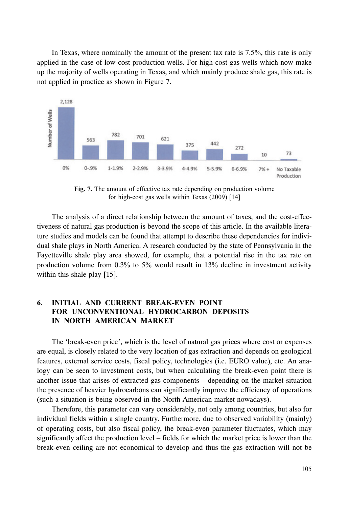In Texas, where nominally the amount of the present tax rate is  $7.5\%$ , this rate is only applied in the case of low-cost production wells. For high-cost gas wells which now make up the majority of wells operating in Texas, and which mainly produce shale gas, this rate is not applied in practice as shown in Figure 7.



Fig. 7. The amount of effective tax rate depending on production volume for high-cost gas wells within Texas (2009) [14]

The analysis of a direct relationship between the amount of taxes, and the cost-effectiveness of natural gas production is beyond the scope of this article. In the available literature studies and models can be found that attempt to describe these dependencies for individual shale plays in North America. A research conducted by the state of Pennsylvania in the Fayetteville shale play area showed, for example, that a potential rise in the tax rate on production volume from  $0.3\%$  to 5% would result in 13% decline in investment activity within this shale play [15].

#### 6. INITIAL AND CURRENT BREAK-EVEN POINT FOR UNCONVENTIONAL HYDROCARBON DEPOSITS IN NORTH AMERICAN MARKET

The 'break-even price', which is the level of natural gas prices where cost or expenses are equal, is closely related to the very location of gas extraction and depends on geological features, external service costs, fiscal policy, technologies (i.e. EURO value), etc. An analogy can be seen to investment costs, but when calculating the break-even point there is another issue that arises of extracted gas components – depending on the market situation the presence of heavier hydrocarbons can significantly improve the efficiency of operations (such a situation is being observed in the North American market nowadays).

Therefore, this parameter can vary considerably, not only among countries, but also for individual fields within a single country. Furthermore, due to observed variability (mainly) of operating costs, but also fiscal policy, the break-even parameter fluctuates, which may significantly affect the production level – fields for which the market price is lower than the break-even ceiling are not economical to develop and thus the gas extraction will not be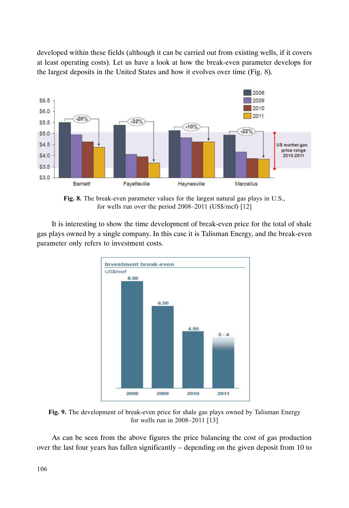developed within these fields (although it can be carried out from existing wells, if it covers at least operating costs). Let us have a look at how the break-even parameter develops for the largest deposits in the United States and how it evolves over time (Fig. 8).



Fig. 8. The break-even parameter values for the largest natural gas plays in U.S., for wells run over the period  $2008-2011$  (US\$/mcf) [12]

It is interesting to show the time development of break-even price for the total of shale gas plays owned by a single company. In this case it is Talisman Energy, and the break-even parameter only refers to investment costs.



Fig. 9. The development of break-even price for shale gas plays owned by Talisman Energy for wells run in  $2008 - 2011$  [13]

As can be seen from the above figures the price balancing the cost of gas production over the last four years has fallen significantly – depending on the given deposit from 10 to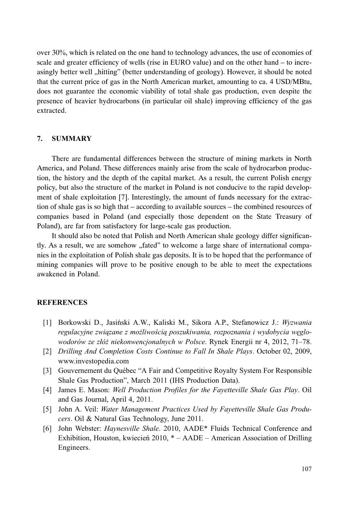over 30%, which is related on the one hand to technology advances, the use of economies of scale and greater efficiency of wells (rise in EURO value) and on the other hand – to increasingly better well "hitting" (better understanding of geology). However, it should be noted that the current price of gas in the North American market, amounting to ca. 4 USD/MBtu, does not guarantee the economic viability of total shale gas production, even despite the presence of heavier hydrocarbons (in particular oil shale) improving efficiency of the gas extracted.

#### 5-**SUMMARY**

There are fundamental differences between the structure of mining markets in North America, and Poland. These differences mainly arise from the scale of hydrocarbon production, the history and the depth of the capital market. As a result, the current Polish energy policy, but also the structure of the market in Poland is not conducive to the rapid development of shale exploitation [7]. Interestingly, the amount of funds necessary for the extraction of shale gas is so high that – according to available sources – the combined resources of companies based in Poland (and especially those dependent on the State Treasury of Poland), are far from satisfactory for large-scale gas production.

It should also be noted that Polish and North American shale geology differ significantly. As a result, we are somehow "fated" to welcome a large share of international companies in the exploitation of Polish shale gas deposits. It is to be hoped that the performance of mining companies will prove to be positive enough to be able to meet the expectations awakened in Poland.

### **REFERENCES**

- [1] Borkowski D., Jasiński A.W., Kaliski M., Sikora A.P., Stefanowicz J.: *Wyzwania* regulacyjne związane z możliwością poszukiwania, rozpoznania i wydobycia węglowodorów ze złóż niekonwencjonalnych w Polsce. Rynek Energii nr 4, 2012, 71–78.
- [2] Drilling And Completion Costs Continue to Fall In Shale Plays. October 02, 2009, www.investopedia.com
- [3] Gouvernement du Québec "A Fair and Competitive Royalty System For Responsible Shale Gas Production", March 2011 (IHS Production Data).
- [4] James E. Mason: Well Production Profiles for the Fayetteville Shale Gas Play. Oil and Gas Journal, April 4, 2011.
- [5] John A. Veil: Water Management Practices Used by Fayetteville Shale Gas Producers. Oil & Natural Gas Technology, June 2011.
- [6] John Webster: *Haynesville Shale*. 2010, AADE\* Fluids Technical Conference and Exhibition, Houston, kwiecień 2010, \* - AADE - American Association of Drilling Engineers.